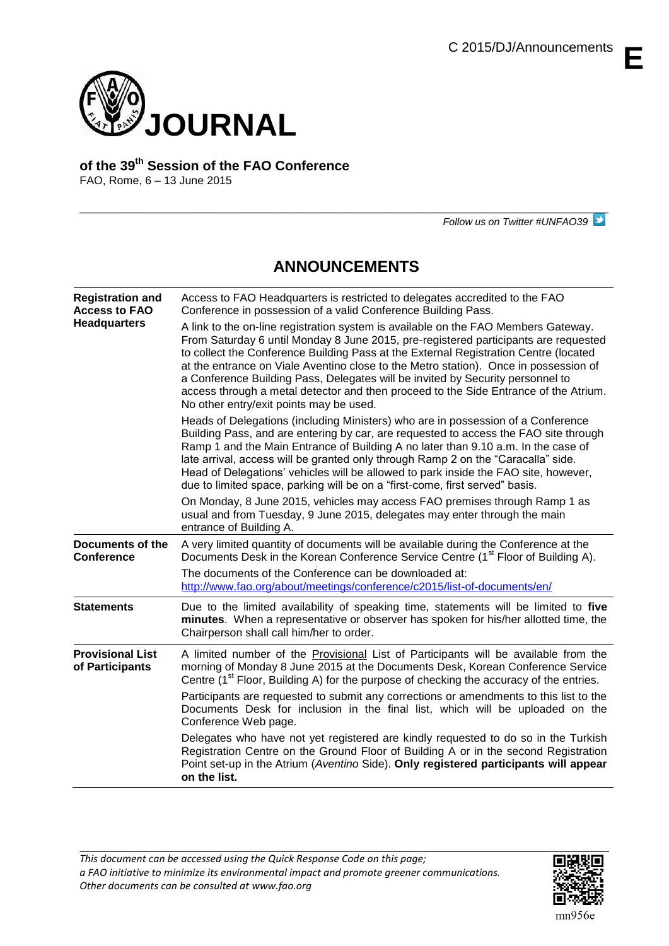**E**



**of the 39th Session of the FAO Conference**

FAO, Rome, 6 – 13 June 2015

*Follow us on Twitter #UNFAO39*

# **ANNOUNCEMENTS**

 $\overline{a}$  , and the state of the state of the state of the state of the state of the state of the state of the state of the state of the state of the state of the state of the state of the state of the state of the state o

| <b>Registration and</b><br><b>Access to FAO</b><br><b>Headquarters</b> | Access to FAO Headquarters is restricted to delegates accredited to the FAO<br>Conference in possession of a valid Conference Building Pass.<br>A link to the on-line registration system is available on the FAO Members Gateway.<br>From Saturday 6 until Monday 8 June 2015, pre-registered participants are requested<br>to collect the Conference Building Pass at the External Registration Centre (located<br>at the entrance on Viale Aventino close to the Metro station). Once in possession of<br>a Conference Building Pass, Delegates will be invited by Security personnel to<br>access through a metal detector and then proceed to the Side Entrance of the Atrium.<br>No other entry/exit points may be used. |
|------------------------------------------------------------------------|--------------------------------------------------------------------------------------------------------------------------------------------------------------------------------------------------------------------------------------------------------------------------------------------------------------------------------------------------------------------------------------------------------------------------------------------------------------------------------------------------------------------------------------------------------------------------------------------------------------------------------------------------------------------------------------------------------------------------------|
|                                                                        | Heads of Delegations (including Ministers) who are in possession of a Conference<br>Building Pass, and are entering by car, are requested to access the FAO site through<br>Ramp 1 and the Main Entrance of Building A no later than 9.10 a.m. In the case of<br>late arrival, access will be granted only through Ramp 2 on the "Caracalla" side.<br>Head of Delegations' vehicles will be allowed to park inside the FAO site, however,<br>due to limited space, parking will be on a "first-come, first served" basis.                                                                                                                                                                                                      |
|                                                                        | On Monday, 8 June 2015, vehicles may access FAO premises through Ramp 1 as<br>usual and from Tuesday, 9 June 2015, delegates may enter through the main<br>entrance of Building A.                                                                                                                                                                                                                                                                                                                                                                                                                                                                                                                                             |
| Documents of the<br><b>Conference</b>                                  | A very limited quantity of documents will be available during the Conference at the<br>Documents Desk in the Korean Conference Service Centre (1 <sup>st</sup> Floor of Building A).                                                                                                                                                                                                                                                                                                                                                                                                                                                                                                                                           |
|                                                                        | The documents of the Conference can be downloaded at:<br>http://www.fao.org/about/meetings/conference/c2015/list-of-documents/en/                                                                                                                                                                                                                                                                                                                                                                                                                                                                                                                                                                                              |
| <b>Statements</b>                                                      | Due to the limited availability of speaking time, statements will be limited to five<br>minutes. When a representative or observer has spoken for his/her allotted time, the<br>Chairperson shall call him/her to order.                                                                                                                                                                                                                                                                                                                                                                                                                                                                                                       |
| <b>Provisional List</b><br>of Participants                             | A limited number of the Provisional List of Participants will be available from the<br>morning of Monday 8 June 2015 at the Documents Desk, Korean Conference Service<br>Centre (1 <sup>st</sup> Floor, Building A) for the purpose of checking the accuracy of the entries.                                                                                                                                                                                                                                                                                                                                                                                                                                                   |
|                                                                        | Participants are requested to submit any corrections or amendments to this list to the<br>Documents Desk for inclusion in the final list, which will be uploaded on the<br>Conference Web page.                                                                                                                                                                                                                                                                                                                                                                                                                                                                                                                                |
|                                                                        | Delegates who have not yet registered are kindly requested to do so in the Turkish<br>Registration Centre on the Ground Floor of Building A or in the second Registration<br>Point set-up in the Atrium (Aventino Side). Only registered participants will appear<br>on the list.                                                                                                                                                                                                                                                                                                                                                                                                                                              |



 $mn956e$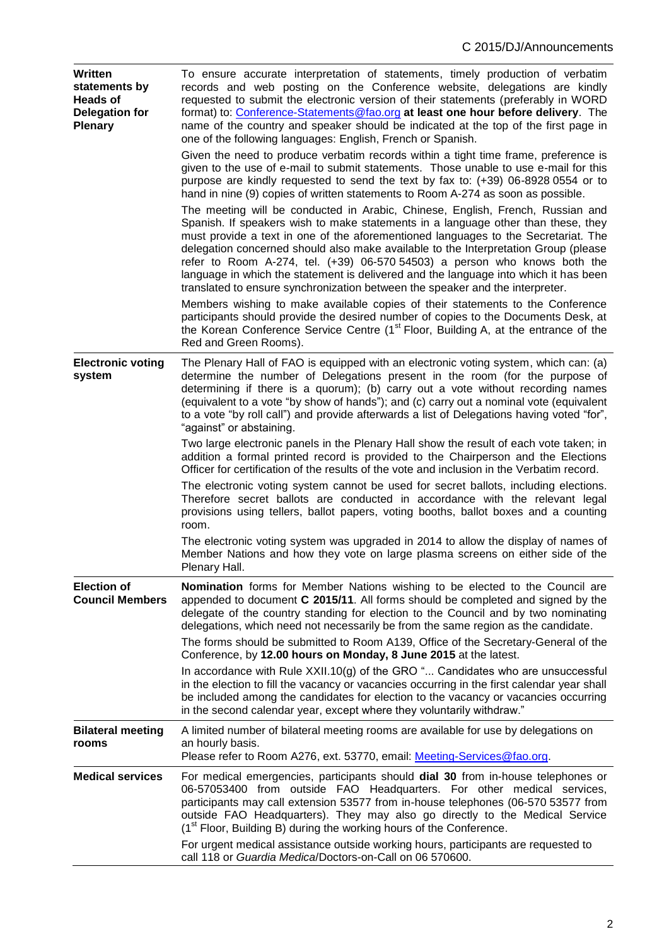| Written<br>statements by<br><b>Heads of</b><br><b>Delegation for</b><br><b>Plenary</b> | To ensure accurate interpretation of statements, timely production of verbatim<br>records and web posting on the Conference website, delegations are kindly<br>requested to submit the electronic version of their statements (preferably in WORD<br>format) to: Conference-Statements@fao.org at least one hour before delivery. The<br>name of the country and speaker should be indicated at the top of the first page in<br>one of the following languages: English, French or Spanish.<br>Given the need to produce verbatim records within a tight time frame, preference is<br>given to the use of e-mail to submit statements. Those unable to use e-mail for this<br>purpose are kindly requested to send the text by fax to: (+39) 06-8928 0554 or to<br>hand in nine (9) copies of written statements to Room A-274 as soon as possible.<br>The meeting will be conducted in Arabic, Chinese, English, French, Russian and<br>Spanish. If speakers wish to make statements in a language other than these, they<br>must provide a text in one of the aforementioned languages to the Secretariat. The<br>delegation concerned should also make available to the Interpretation Group (please<br>refer to Room A-274, tel. $(+39)$ 06-570 54503) a person who knows both the<br>language in which the statement is delivered and the language into which it has been<br>translated to ensure synchronization between the speaker and the interpreter.<br>Members wishing to make available copies of their statements to the Conference<br>participants should provide the desired number of copies to the Documents Desk, at<br>the Korean Conference Service Centre (1 <sup>st</sup> Floor, Building A, at the entrance of the |
|----------------------------------------------------------------------------------------|--------------------------------------------------------------------------------------------------------------------------------------------------------------------------------------------------------------------------------------------------------------------------------------------------------------------------------------------------------------------------------------------------------------------------------------------------------------------------------------------------------------------------------------------------------------------------------------------------------------------------------------------------------------------------------------------------------------------------------------------------------------------------------------------------------------------------------------------------------------------------------------------------------------------------------------------------------------------------------------------------------------------------------------------------------------------------------------------------------------------------------------------------------------------------------------------------------------------------------------------------------------------------------------------------------------------------------------------------------------------------------------------------------------------------------------------------------------------------------------------------------------------------------------------------------------------------------------------------------------------------------------------------------------------------------------------------------------------------------------------|
| <b>Electronic voting</b><br>system                                                     | Red and Green Rooms).<br>The Plenary Hall of FAO is equipped with an electronic voting system, which can: (a)<br>determine the number of Delegations present in the room (for the purpose of<br>determining if there is a quorum); (b) carry out a vote without recording names<br>(equivalent to a vote "by show of hands"); and (c) carry out a nominal vote (equivalent<br>to a vote "by roll call") and provide afterwards a list of Delegations having voted "for",<br>"against" or abstaining.                                                                                                                                                                                                                                                                                                                                                                                                                                                                                                                                                                                                                                                                                                                                                                                                                                                                                                                                                                                                                                                                                                                                                                                                                                       |
|                                                                                        | Two large electronic panels in the Plenary Hall show the result of each vote taken; in<br>addition a formal printed record is provided to the Chairperson and the Elections<br>Officer for certification of the results of the vote and inclusion in the Verbatim record.<br>The electronic voting system cannot be used for secret ballots, including elections.<br>Therefore secret ballots are conducted in accordance with the relevant legal<br>provisions using tellers, ballot papers, voting booths, ballot boxes and a counting                                                                                                                                                                                                                                                                                                                                                                                                                                                                                                                                                                                                                                                                                                                                                                                                                                                                                                                                                                                                                                                                                                                                                                                                   |
|                                                                                        | room.<br>The electronic voting system was upgraded in 2014 to allow the display of names of<br>Member Nations and how they vote on large plasma screens on either side of the<br>Plenary Hall.                                                                                                                                                                                                                                                                                                                                                                                                                                                                                                                                                                                                                                                                                                                                                                                                                                                                                                                                                                                                                                                                                                                                                                                                                                                                                                                                                                                                                                                                                                                                             |
| <b>Election of</b><br><b>Council Members</b>                                           | <b>Nomination</b> forms for Member Nations wishing to be elected to the Council are<br>appended to document C 2015/11. All forms should be completed and signed by the<br>delegate of the country standing for election to the Council and by two nominating<br>delegations, which need not necessarily be from the same region as the candidate.                                                                                                                                                                                                                                                                                                                                                                                                                                                                                                                                                                                                                                                                                                                                                                                                                                                                                                                                                                                                                                                                                                                                                                                                                                                                                                                                                                                          |
|                                                                                        | The forms should be submitted to Room A139, Office of the Secretary-General of the<br>Conference, by 12.00 hours on Monday, 8 June 2015 at the latest.                                                                                                                                                                                                                                                                                                                                                                                                                                                                                                                                                                                                                                                                                                                                                                                                                                                                                                                                                                                                                                                                                                                                                                                                                                                                                                                                                                                                                                                                                                                                                                                     |
|                                                                                        | In accordance with Rule XXII.10(g) of the GRO " Candidates who are unsuccessful<br>in the election to fill the vacancy or vacancies occurring in the first calendar year shall<br>be included among the candidates for election to the vacancy or vacancies occurring<br>in the second calendar year, except where they voluntarily withdraw."                                                                                                                                                                                                                                                                                                                                                                                                                                                                                                                                                                                                                                                                                                                                                                                                                                                                                                                                                                                                                                                                                                                                                                                                                                                                                                                                                                                             |
| <b>Bilateral meeting</b><br>rooms                                                      | A limited number of bilateral meeting rooms are available for use by delegations on<br>an hourly basis.<br>Please refer to Room A276, ext. 53770, email: Meeting-Services@fao.org.                                                                                                                                                                                                                                                                                                                                                                                                                                                                                                                                                                                                                                                                                                                                                                                                                                                                                                                                                                                                                                                                                                                                                                                                                                                                                                                                                                                                                                                                                                                                                         |
| <b>Medical services</b>                                                                | For medical emergencies, participants should dial 30 from in-house telephones or<br>06-57053400 from outside FAO Headquarters. For other medical services,<br>participants may call extension 53577 from in-house telephones (06-570 53577 from<br>outside FAO Headquarters). They may also go directly to the Medical Service<br>(1 <sup>st</sup> Floor, Building B) during the working hours of the Conference.                                                                                                                                                                                                                                                                                                                                                                                                                                                                                                                                                                                                                                                                                                                                                                                                                                                                                                                                                                                                                                                                                                                                                                                                                                                                                                                          |
|                                                                                        | For urgent medical assistance outside working hours, participants are requested to<br>call 118 or Guardia Medica/Doctors-on-Call on 06 570600.                                                                                                                                                                                                                                                                                                                                                                                                                                                                                                                                                                                                                                                                                                                                                                                                                                                                                                                                                                                                                                                                                                                                                                                                                                                                                                                                                                                                                                                                                                                                                                                             |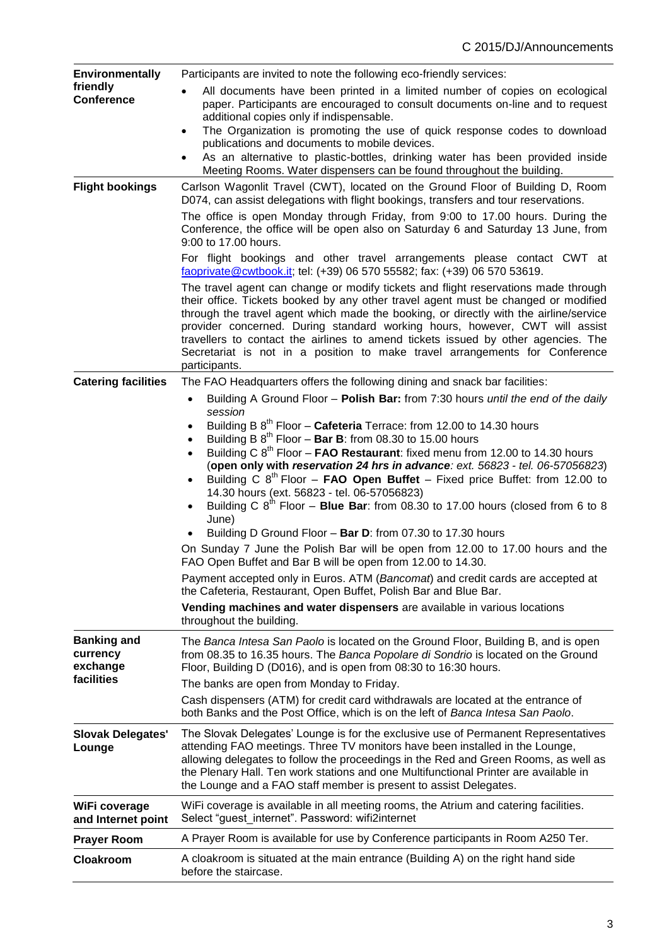| <b>Environmentally</b>                     | Participants are invited to note the following eco-friendly services:                                                                                                                                                                                                                                                                                                                                                                                                                                                                 |  |  |
|--------------------------------------------|---------------------------------------------------------------------------------------------------------------------------------------------------------------------------------------------------------------------------------------------------------------------------------------------------------------------------------------------------------------------------------------------------------------------------------------------------------------------------------------------------------------------------------------|--|--|
| friendly<br><b>Conference</b>              | All documents have been printed in a limited number of copies on ecological<br>paper. Participants are encouraged to consult documents on-line and to request<br>additional copies only if indispensable.                                                                                                                                                                                                                                                                                                                             |  |  |
|                                            | The Organization is promoting the use of quick response codes to download<br>$\bullet$                                                                                                                                                                                                                                                                                                                                                                                                                                                |  |  |
|                                            | publications and documents to mobile devices.                                                                                                                                                                                                                                                                                                                                                                                                                                                                                         |  |  |
|                                            | As an alternative to plastic-bottles, drinking water has been provided inside<br>Meeting Rooms. Water dispensers can be found throughout the building.                                                                                                                                                                                                                                                                                                                                                                                |  |  |
| <b>Flight bookings</b>                     | Carlson Wagonlit Travel (CWT), located on the Ground Floor of Building D, Room<br>D074, can assist delegations with flight bookings, transfers and tour reservations.                                                                                                                                                                                                                                                                                                                                                                 |  |  |
|                                            | The office is open Monday through Friday, from 9:00 to 17.00 hours. During the<br>Conference, the office will be open also on Saturday 6 and Saturday 13 June, from<br>9:00 to 17.00 hours.                                                                                                                                                                                                                                                                                                                                           |  |  |
|                                            | For flight bookings and other travel arrangements please contact CWT at<br>faoprivate@cwtbook.it; tel: (+39) 06 570 55582; fax: (+39) 06 570 53619.                                                                                                                                                                                                                                                                                                                                                                                   |  |  |
|                                            | The travel agent can change or modify tickets and flight reservations made through<br>their office. Tickets booked by any other travel agent must be changed or modified<br>through the travel agent which made the booking, or directly with the airline/service<br>provider concerned. During standard working hours, however, CWT will assist<br>travellers to contact the airlines to amend tickets issued by other agencies. The<br>Secretariat is not in a position to make travel arrangements for Conference<br>participants. |  |  |
| <b>Catering facilities</b>                 | The FAO Headquarters offers the following dining and snack bar facilities:                                                                                                                                                                                                                                                                                                                                                                                                                                                            |  |  |
|                                            | Building A Ground Floor - Polish Bar: from 7:30 hours until the end of the daily<br>$\bullet$                                                                                                                                                                                                                                                                                                                                                                                                                                         |  |  |
|                                            | session<br>Building B $8^{th}$ Floor – Cafeteria Terrace: from 12.00 to 14.30 hours                                                                                                                                                                                                                                                                                                                                                                                                                                                   |  |  |
|                                            | Building B $8^{th}$ Floor – Bar B: from 08.30 to 15.00 hours                                                                                                                                                                                                                                                                                                                                                                                                                                                                          |  |  |
|                                            | Building C $8^{th}$ Floor – <b>FAO Restaurant</b> : fixed menu from 12.00 to 14.30 hours<br>(open only with reservation 24 hrs in advance: ext. 56823 - tel. 06-57056823)<br>Building C $8^{th}$ Floor – FAO Open Buffet – Fixed price Buffet: from 12.00 to<br>$\bullet$<br>14.30 hours (ext. 56823 - tel. 06-57056823)                                                                                                                                                                                                              |  |  |
|                                            | Building C $8^{th}$ Floor - Blue Bar: from 08.30 to 17.00 hours (closed from 6 to 8<br>June)                                                                                                                                                                                                                                                                                                                                                                                                                                          |  |  |
|                                            | Building D Ground Floor - Bar D: from 07.30 to 17.30 hours                                                                                                                                                                                                                                                                                                                                                                                                                                                                            |  |  |
|                                            | On Sunday 7 June the Polish Bar will be open from 12.00 to 17.00 hours and the<br>FAO Open Buffet and Bar B will be open from 12.00 to 14.30.                                                                                                                                                                                                                                                                                                                                                                                         |  |  |
|                                            | Payment accepted only in Euros. ATM (Bancomat) and credit cards are accepted at<br>the Cafeteria, Restaurant, Open Buffet, Polish Bar and Blue Bar.                                                                                                                                                                                                                                                                                                                                                                                   |  |  |
|                                            | Vending machines and water dispensers are available in various locations<br>throughout the building.                                                                                                                                                                                                                                                                                                                                                                                                                                  |  |  |
| <b>Banking and</b><br>currency<br>exchange | The Banca Intesa San Paolo is located on the Ground Floor, Building B, and is open<br>from 08.35 to 16.35 hours. The Banca Popolare di Sondrio is located on the Ground<br>Floor, Building D (D016), and is open from 08:30 to 16:30 hours.                                                                                                                                                                                                                                                                                           |  |  |
| facilities                                 | The banks are open from Monday to Friday.                                                                                                                                                                                                                                                                                                                                                                                                                                                                                             |  |  |
|                                            | Cash dispensers (ATM) for credit card withdrawals are located at the entrance of<br>both Banks and the Post Office, which is on the left of Banca Intesa San Paolo.                                                                                                                                                                                                                                                                                                                                                                   |  |  |
| <b>Slovak Delegates'</b><br>Lounge         | The Slovak Delegates' Lounge is for the exclusive use of Permanent Representatives<br>attending FAO meetings. Three TV monitors have been installed in the Lounge,<br>allowing delegates to follow the proceedings in the Red and Green Rooms, as well as<br>the Plenary Hall. Ten work stations and one Multifunctional Printer are available in<br>the Lounge and a FAO staff member is present to assist Delegates.                                                                                                                |  |  |
| WiFi coverage<br>and Internet point        | WiFi coverage is available in all meeting rooms, the Atrium and catering facilities.<br>Select "guest internet". Password: wifi2internet                                                                                                                                                                                                                                                                                                                                                                                              |  |  |
| <b>Prayer Room</b>                         | A Prayer Room is available for use by Conference participants in Room A250 Ter.                                                                                                                                                                                                                                                                                                                                                                                                                                                       |  |  |
| Cloakroom                                  | A cloakroom is situated at the main entrance (Building A) on the right hand side<br>before the staircase.                                                                                                                                                                                                                                                                                                                                                                                                                             |  |  |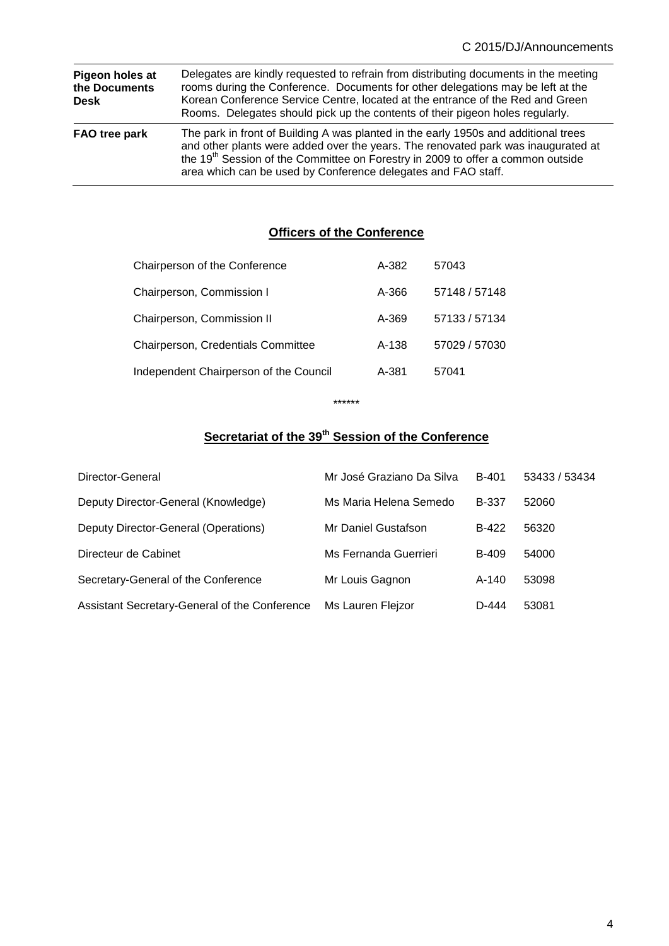| Pigeon holes at<br>the Documents<br>Desk | Delegates are kindly requested to refrain from distributing documents in the meeting<br>rooms during the Conference. Documents for other delegations may be left at the<br>Korean Conference Service Centre, located at the entrance of the Red and Green<br>Rooms. Delegates should pick up the contents of their pigeon holes regularly. |
|------------------------------------------|--------------------------------------------------------------------------------------------------------------------------------------------------------------------------------------------------------------------------------------------------------------------------------------------------------------------------------------------|
| FAO tree park                            | The park in front of Building A was planted in the early 1950s and additional trees<br>and other plants were added over the years. The renovated park was inaugurated at<br>the 19 <sup>th</sup> Session of the Committee on Forestry in 2009 to offer a common outside<br>area which can be used by Conference delegates and FAO staff.   |

## **Officers of the Conference**

| Chairperson of the Conference          | A-382 | 57043         |
|----------------------------------------|-------|---------------|
| Chairperson, Commission I              | A-366 | 57148 / 57148 |
| Chairperson, Commission II             | A-369 | 57133 / 57134 |
| Chairperson, Credentials Committee     | A-138 | 57029 / 57030 |
| Independent Chairperson of the Council | A-381 | 57041         |
|                                        |       |               |

\*\*\*\*\*\*

### **<u>Secretariat of the 39<sup>th</sup> Session of the Conference</u>**

| Director-General                              | Mr José Graziano Da Silva | B-401        | 53433 / 53434 |
|-----------------------------------------------|---------------------------|--------------|---------------|
| Deputy Director-General (Knowledge)           | Ms Maria Helena Semedo    | <b>B-337</b> | 52060         |
| Deputy Director-General (Operations)          | Mr Daniel Gustafson       | B-422        | 56320         |
| Directeur de Cabinet                          | Ms Fernanda Guerrieri     | <b>B-409</b> | 54000         |
| Secretary-General of the Conference           | Mr Louis Gagnon           | $A-140$      | 53098         |
| Assistant Secretary-General of the Conference | Ms Lauren Flejzor         | D-444        | 53081         |